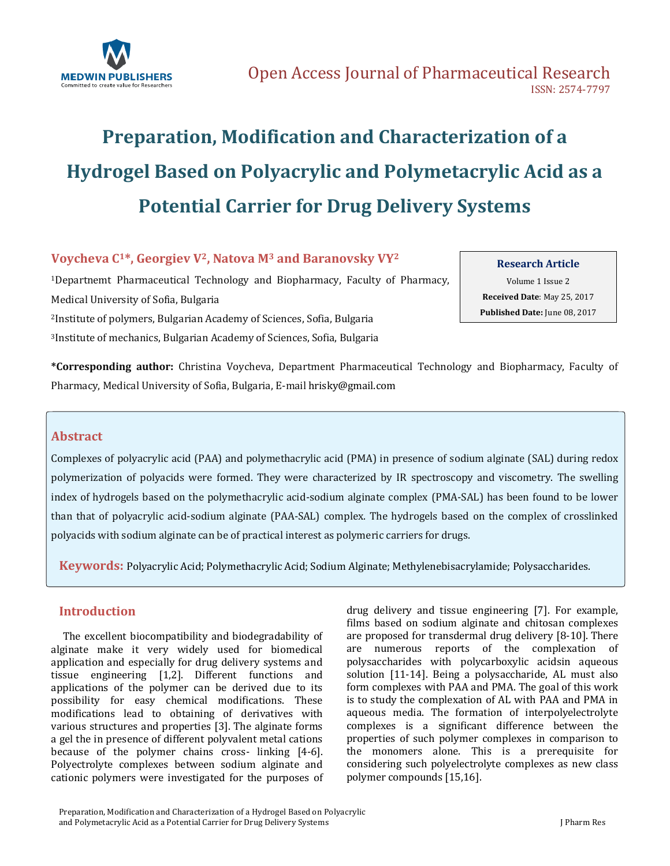

# **Preparation, Modification and Characterization of a Hydrogel Based on Polyacrylic and Polymetacrylic Acid as a Potential Carrier for Drug Delivery Systems**

# **Voycheva C1\*, Georgiev V2, Natova M<sup>3</sup> and Baranovsky VY<sup>2</sup>**

Departnemt Pharmaceutical Technology and Biopharmacy, Faculty of Pharmacy, Medical University of Sofia, Bulgaria Institute of polymers, Bulgarian Academy of Sciences, Sofia, Bulgaria Institute of mechanics, Bulgarian Academy of Sciences, Sofia, Bulgaria

#### **Research Article**

Volume 1 Issue 2 **Received Date**: May 25, 2017 **Published Date:** June 08, 2017

**\*Corresponding author:** Christina Voycheva, Department Pharmaceutical Technology and Biopharmacy, Faculty of Pharmacy, Medical University of Sofia, Bulgaria, E-mai[l hrisky@gmail.com](mailto:hrisky@gmail.com)

# **Abstract**

Complexes of polyacrylic acid (PAA) and polymethacrylic acid (PMA) in presence of sodium alginate (SAL) during redox polymerization of polyacids were formed. They were characterized by IR spectroscopy and viscometry. The swelling index of hydrogels based on the polymethacrylic acid-sodium alginate complex (PMA-SAL) has been found to be lower than that of polyacrylic acid-sodium alginate (PAA-SAL) complex. The hydrogels based on the complex of crosslinked polyacids with sodium alginate can be of practical interest as polymeric carriers for drugs.

**Keywords:** Polyacrylic Acid; Polymethacrylic Acid; Sodium Alginate; Methylenebisacrylamide; Polysaccharides.

## **Introduction**

 The excellent biocompatibility and biodegradability of alginate make it very widely used for biomedical application and especially for drug delivery systems and tissue engineering [1,2]. Different functions and applications of the polymer can be derived due to its possibility for easy chemical modifications. These modifications lead to obtaining of derivatives with various structures and properties [3]. The alginate forms a gel the in presence of different polyvalent metal cations because of the polymer chains cross- linking [4-6]. Polyectrolyte complexes between sodium alginate and cationic polymers were investigated for the purposes of drug delivery and tissue engineering [7]. For example, films based on sodium alginate and chitosan complexes are proposed for transdermal drug delivery [8-10]. There are numerous reports of the complexation of polysaccharides with polycarboxylic acidsin aqueous solution [11-14]. Being a polysaccharide, AL must also form complexes with PAA and PMA. The goal of this work is to study the complexation of AL with PAA and PMA in aqueous media. The formation of interpolyelectrolyte complexes is a significant difference between the properties of such polymer complexes in comparison to the monomers alone. This is a prerequisite for considering such polyelectrolyte complexes as new class polymer compounds [15,16].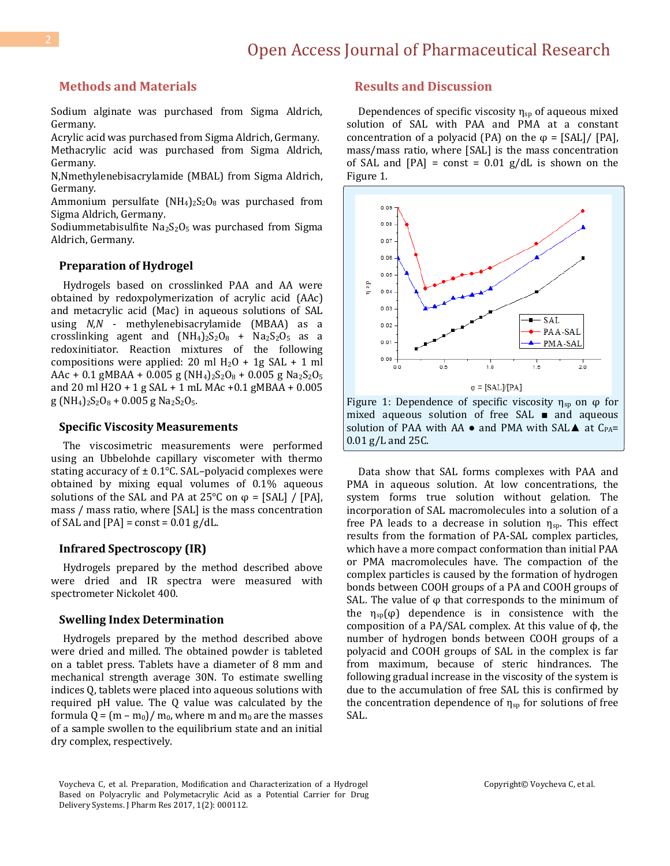### **Methods and Materials**

Sodium alginate was purchased from Sigma Aldrich, Germany.

Acrylic acid was purchased from Sigma Aldrich, Germany. Methacrylic acid was purchased from Sigma Aldrich, Germany.

N,Nmethylenebisacrylamide (MBAL) from Sigma Aldrich, Germany.

Ammonium persulfate  $(NH_4)_2S_2O_8$  was purchased from Sigma Aldrich, Germany.

Sodiummetabisulfite  $Na<sub>2</sub>S<sub>2</sub>O<sub>5</sub>$  was purchased from Sigma Aldrich, Germany.

#### **Preparation of Hydrogel**

 Hydrogels based on crosslinked PAA and AA were obtained by redoxpolymerization of acrylic acid (AAc) and metacrylic acid (Mac) in aqueous solutions of SAL using *N*,*N* - methylenebisacrylamide (MBAA) as a crosslinking agent and  $(NH_4)_2S_2O_8$  +  $Na_2S_2O_5$  as a redoxinitiator. Reaction mixtures of the following compositions were applied: 20 ml  $H_2O + 1g SAL + 1 ml$ AAc + 0.1 gMBAA + 0.005 g (NH<sub>4</sub>)<sub>2</sub>S<sub>2</sub>O<sub>8</sub> + 0.005 g Na<sub>2</sub>S<sub>2</sub>O<sub>5</sub> and 20 ml Н2О + 1 g SAL + 1 mL MAc +0.1 gMBAA + 0.005  $g (NH_4)_2S_2O_8 + 0.005 g Na_2S_2O_5.$ 

#### **Specific Viscosity Measurements**

 The viscosimetric measurements were performed using an Ubbelohde capillary viscometer with thermo stating accuracy of  $\pm$  0.1 $\degree$ C. SAL-polyacid complexes were obtained by mixing equal volumes of 0.1% aqueous solutions of the SAL and PA at 25°C on  $φ = [SAL] / [PA]$ , mass / mass ratio, where [SAL] is the mass concentration of SAL and  $[PA] = const = 0.01 g/dL$ .

#### **Infrared Spectroscopy (IR)**

 Hydrogels prepared by the method described above were dried and IR spectra were measured with spectrometer Nickolet 400.

#### **Swelling Index Determination**

 Hydrogels prepared by the method described above were dried and milled. The obtained powder is tableted on a tablet press. Tablets have a diameter of 8 mm and mechanical strength average 30N. To estimate swelling indices Q, tablets were placed into aqueous solutions with required pH value. The Q value was calculated by the formula  $Q = (m - m_0)/m_0$ , where m and m<sub>0</sub> are the masses of a sample swollen to the equilibrium state and an initial dry complex, respectively.

#### **Results and Discussion**

Dependences of specific viscosity  $\eta_{\text{sp}}$  of aqueous mixed solution of SAL with PAA and PMA at a constant concentration of a polyacid (PA) on the  $\varphi = [SAL]/ [PA]$ , mass/mass ratio, where [SAL] is the mass concentration of SAL and  $[PA] = \text{const} = 0.01 \text{ g/dL}$  is shown on the Figure 1.



Figure 1: Dependence of specific viscosity  $\eta_{sp}$  on  $\varphi$  for mixed aqueous solution of free SAL ■ and aqueous solution of PAA with AA  $\bullet$  and PMA with SAL $\blacktriangle$  at C<sub>PA</sub>= 0.01 g/L and 25С.

 Data show that SAL forms complexes with PAA and PMA in aqueous solution. At low concentrations, the system forms true solution without gelation. The incorporation of SAL macromolecules into a solution of a free PA leads to a decrease in solution  $\eta_{sp}$ . This effect results from the formation of PA-SAL complex particles, which have a more compact conformation than initial PAA or PMA macromolecules have. The compaction of the complex particles is caused by the formation of hydrogen bonds between COOH groups of a PA and COOH groups of SAL. The value of  $\varphi$  that corresponds to the minimum of the  $\eta_{sp}(\varphi)$  dependence is in consistence with the composition of a PA/SAL complex. At this value of ϕ, the number of hydrogen bonds between COOH groups of a polyacid and COOH groups of SAL in the complex is far from maximum, because of steric hindrances. The following gradual increase in the viscosity of the system is due to the accumulation of free SAL this is confirmed by the concentration dependence of  $\eta_{sp}$  for solutions of free SAL.

Voycheva C, et al. Preparation, Modification and Characterization of a Hydrogel Based on Polyacrylic and Polymetacrylic Acid as a Potential Carrier for Drug Delivery Systems. J Pharm Res 2017, 1(2): 000112.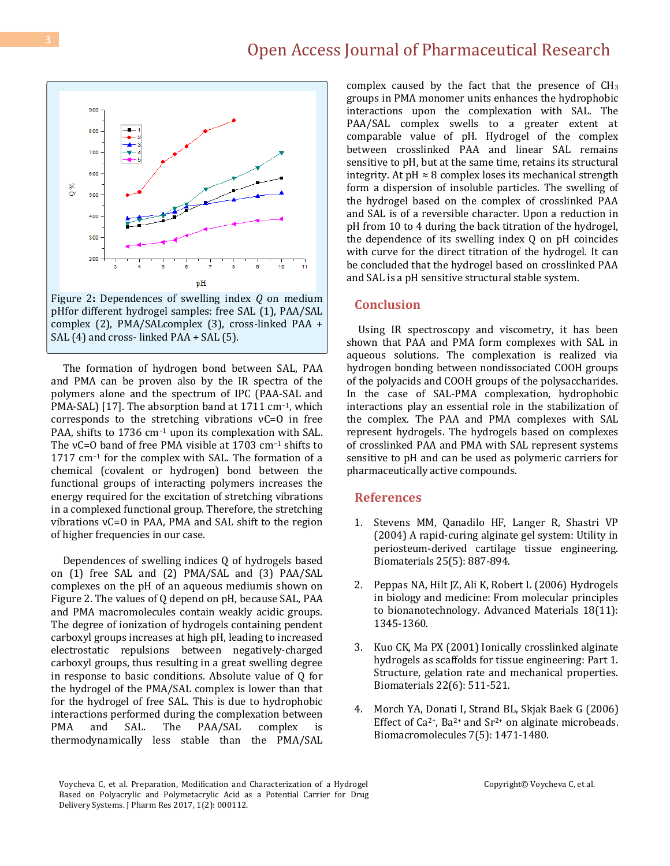Figure 2**:** Dependences of swelling index *Q* on medium pHfor different hydrogel samples: free SAL (1), PAA/SAL complex (2), PMA/SALcomplex (3), cross-linked PAA + SAL (4) and cross- linked PAA + SAL (5).

 The formation of hydrogen bond between SAL, PAA and PMA can be proven also by the IR spectra of the polymers alone and the spectrum of IPC (PAA-SAL and PMA-SAL) [17]. The absorption band at 1711 cm<sup>-1</sup>, which corresponds to the stretching vibrations νC=O in free PAA, shifts to 1736 cm<sup>-1</sup> upon its complexation with SAL. The  $vC=0$  band of free PMA visible at 1703 cm<sup>-1</sup> shifts to 1717 cm<sup>-1</sup> for the complex with SAL. The formation of a chemical (covalent or hydrogen) bond between the functional groups of interacting polymers increases the energy required for the excitation of stretching vibrations in a complexed functional group. Therefore, the stretching vibrations νC=O in PAA, PMA and SAL shift to the region of higher frequencies in our case.

 Dependences of swelling indices Q of hydrogels based on (1) free SAL and (2) PMA/SAL and (3) PAA/SAL complexes on the pH of an aqueous mediumis shown on Figure 2. The values of Q depend on pH, because SAL, PAA and PMA macromolecules contain weakly acidic groups. Тhe degree of ionization of hydrogels containing pendent carboxyl groups increases at high pH, leading to increased electrostatic repulsions between negatively-charged carboxyl groups, thus resulting in a great swelling degree in response to basic conditions. Absolute value of Q for the hydrogel of the PMA/SAL complex is lower than that for the hydrogel of free SAL. This is due to hydrophobic interactions performed during the complexation between PMA and SAL. The PAA/SAL complex is thermodynamically less stable than the PMA/SAL

complex caused by the fact that the presence of  $CH<sub>3</sub>$ groups in PMA monomer units enhances the hydrophobic interactions upon the complexation with SAL. The PAA/SAL complex swells to a greater extent at comparable value of pH. Hydrogel of the complex between crosslinked PAA and linear SAL remains sensitive to pH, but at the same time, retains its structural integrity. At  $pH \approx 8$  complex loses its mechanical strength form a dispersion of insoluble particles. The swelling of the hydrogel based on the complex of crosslinked PAA and SAL is of a reversible character. Upon a reduction in pH from 10 to 4 during the back titration of the hydrogel, the dependence of its swelling index Q on pH coincides with curve for the direct titration of the hydrogel. It can be concluded that the hydrogel based on crosslinked PAA and SAL is a pH sensitive structural stable system.

#### **Conclusion**

 Using IR spectroscopy and viscometry, it has been shown that PAA and PMA form complexes with SAL in aqueous solutions. The complexation is realized via hydrogen bonding between nondissociated COOH groups of the polyacids and COOH groups of the polysaccharides. In the case of SAL-PMA complexation, hydrophobic interactions play an essential role in the stabilization of the complex. The PAA and PMA complexes with SAL represent hydrogels. The hydrogels based on complexes of crosslinked PAA and PMA with SAL represent systems sensitive to pH and can be used as polymeric carriers for pharmaceutically active compounds.

#### **References**

- 1. [Stevens MM, Qanadilo HF, Langer R, Shastri VP](https://www.ncbi.nlm.nih.gov/pubmed/14609677)  [\(2004\) A rapid-curing alginate gel system: Utility in](https://www.ncbi.nlm.nih.gov/pubmed/14609677)  [periosteum-derived cartilage tissue engineering.](https://www.ncbi.nlm.nih.gov/pubmed/14609677)  Biomaterials [25\(5\): 887-894.](https://www.ncbi.nlm.nih.gov/pubmed/14609677)
- 2. [Peppas NA, Hilt JZ, Ali K, Robert L \(2006\) Hydrogels](http://onlinelibrary.wiley.com/doi/10.1002/adma.200501612/full)  [in biology and medicine: From molecular principles](http://onlinelibrary.wiley.com/doi/10.1002/adma.200501612/full)  [to bionanotechnology. Advanced Materials 18\(11\):](http://onlinelibrary.wiley.com/doi/10.1002/adma.200501612/full)  [1345-1360.](http://onlinelibrary.wiley.com/doi/10.1002/adma.200501612/full)
- 3. [Kuo CK, Ma PX \(2001\) Ionically crosslinked alginate](https://www.ncbi.nlm.nih.gov/pubmed/11219714)  [hydrogels as scaffolds for tissue engineering: Part 1.](https://www.ncbi.nlm.nih.gov/pubmed/11219714)  [Structure, gelation rate and mechanical properties.](https://www.ncbi.nlm.nih.gov/pubmed/11219714)  [Biomaterials 22\(6\):](https://www.ncbi.nlm.nih.gov/pubmed/11219714) 511-521.
- 4. [Morch YA, Donati I, Strand BL, Skjak Baek G](https://www.ncbi.nlm.nih.gov/pubmed/16677028) (2006) Effect of Ca<sup>2+</sup>, Ba<sup>2+</sup> and Sr<sup>2+</sup> on alginate microbeads. [Biomacromolecules 7\(5\):](https://www.ncbi.nlm.nih.gov/pubmed/16677028) 1471-1480.